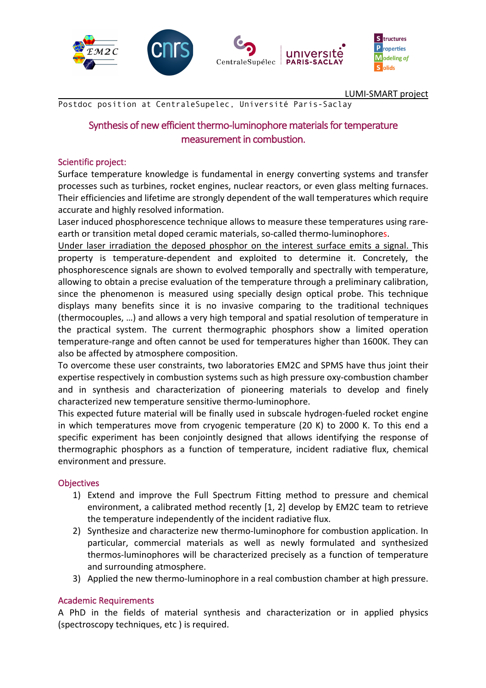

LUMI-SMART project

Postdoc position at CentraleSupelec, Université Paris-Saclay

# Synthesis of new efficient thermo-luminophore materials for temperature measurement in combustion.

#### Scientific project:

Surface temperature knowledge is fundamental in energy converting systems and transfer processes such as turbines, rocket engines, nuclear reactors, or even glass melting furnaces. Their efficiencies and lifetime are strongly dependent of the wall temperatures which require accurate and highly resolved information.

Laser induced phosphorescence technique allows to measure these temperatures using rareearth or transition metal doped ceramic materials, so-called thermo-luminophores.

Under laser irradiation the deposed phosphor on the interest surface emits a signal. This property is temperature-dependent and exploited to determine it. Concretely, the phosphorescence signals are shown to evolved temporally and spectrally with temperature, allowing to obtain a precise evaluation of the temperature through a preliminary calibration, since the phenomenon is measured using specially design optical probe. This technique displays many benefits since it is no invasive comparing to the traditional techniques (thermocouples, …) and allows a very high temporal and spatial resolution of temperature in the practical system. The current thermographic phosphors show a limited operation temperature-range and often cannot be used for temperatures higher than 1600K. They can also be affected by atmosphere composition.

To overcome these user constraints, two laboratories EM2C and SPMS have thus joint their expertise respectively in combustion systems such as high pressure oxy-combustion chamber and in synthesis and characterization of pioneering materials to develop and finely characterized new temperature sensitive thermo-luminophore.

This expected future material will be finally used in subscale hydrogen-fueled rocket engine in which temperatures move from cryogenic temperature (20 K) to 2000 K. To this end a specific experiment has been conjointly designed that allows identifying the response of thermographic phosphors as a function of temperature, incident radiative flux, chemical environment and pressure.

## **Objectives**

- 1) Extend and improve the Full Spectrum Fitting method to pressure and chemical environment, a calibrated method recently [1, 2] develop by EM2C team to retrieve the temperature independently of the incident radiative flux.
- 2) Synthesize and characterize new thermo-luminophore for combustion application. In particular, commercial materials as well as newly formulated and synthesized thermos-luminophores will be characterized precisely as a function of temperature and surrounding atmosphere.
- 3) Applied the new thermo-luminophore in a real combustion chamber at high pressure.

#### Academic Requirements

A PhD in the fields of material synthesis and characterization or in applied physics (spectroscopy techniques, etc ) is required.